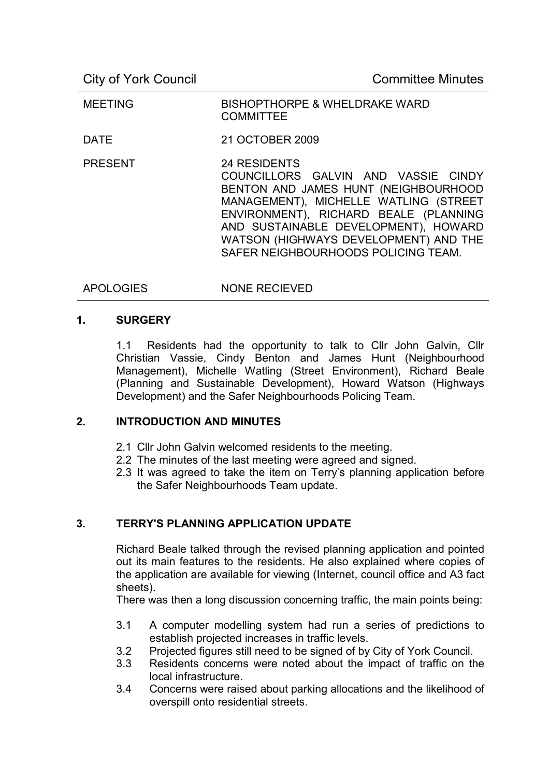| <b>MEETING</b> | <b>BISHOPTHORPE &amp; WHELDRAKE WARD</b><br><b>COMMITTEE</b>                                                                                                                                                                                                                                                 |
|----------------|--------------------------------------------------------------------------------------------------------------------------------------------------------------------------------------------------------------------------------------------------------------------------------------------------------------|
| <b>DATE</b>    | 21 OCTOBER 2009                                                                                                                                                                                                                                                                                              |
| <b>PRESENT</b> | <b>24 RESIDENTS</b><br>COUNCILLORS GALVIN AND VASSIE CINDY<br>BENTON AND JAMES HUNT (NEIGHBOURHOOD<br>MANAGEMENT), MICHELLE WATLING (STREET<br>ENVIRONMENT), RICHARD BEALE (PLANNING<br>AND SUSTAINABLE DEVELOPMENT), HOWARD<br>WATSON (HIGHWAYS DEVELOPMENT) AND THE<br>SAFER NEIGHBOURHOODS POLICING TEAM. |

APOLOGIES NONE RECIEVED

# **1. SURGERY**

1.1 Residents had the opportunity to talk to Cllr John Galvin, Cllr Christian Vassie, Cindy Benton and James Hunt (Neighbourhood Management), Michelle Watling (Street Environment), Richard Beale (Planning and Sustainable Development), Howard Watson (Highways Development) and the Safer Neighbourhoods Policing Team.

## **2. INTRODUCTION AND MINUTES**

- 2.1 Cllr John Galvin welcomed residents to the meeting.
- 2.2 The minutes of the last meeting were agreed and signed.
- 2.3 It was agreed to take the item on Terry's planning application before the Safer Neighbourhoods Team update.

### **3. TERRY'S PLANNING APPLICATION UPDATE**

Richard Beale talked through the revised planning application and pointed out its main features to the residents. He also explained where copies of the application are available for viewing (Internet, council office and A3 fact sheets).

There was then a long discussion concerning traffic, the main points being:

- 3.1 A computer modelling system had run a series of predictions to establish projected increases in traffic levels.
- 3.2 Projected figures still need to be signed of by City of York Council.
- 3.3 Residents concerns were noted about the impact of traffic on the local infrastructure.
- 3.4 Concerns were raised about parking allocations and the likelihood of overspill onto residential streets.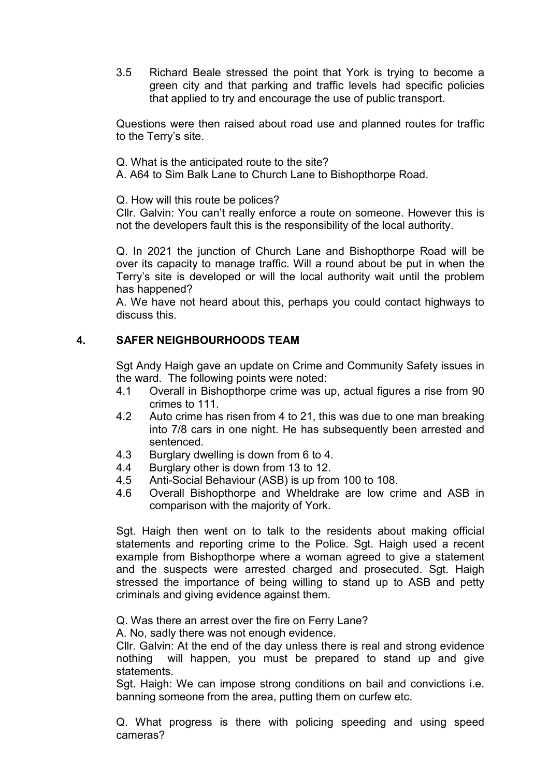3.5 Richard Beale stressed the point that York is trying to become a green city and that parking and traffic levels had specific policies that applied to try and encourage the use of public transport.

Questions were then raised about road use and planned routes for traffic to the Terry's site.

Q. What is the anticipated route to the site?

A. A64 to Sim Balk Lane to Church Lane to Bishopthorpe Road.

Q. How will this route be polices?

Cllr. Galvin: You can't really enforce a route on someone. However this is not the developers fault this is the responsibility of the local authority.

Q. In 2021 the junction of Church Lane and Bishopthorpe Road will be over its capacity to manage traffic. Will a round about be put in when the Terry's site is developed or will the local authority wait until the problem has happened?

A. We have not heard about this, perhaps you could contact highways to discuss this.

## **4. SAFER NEIGHBOURHOODS TEAM**

Sgt Andy Haigh gave an update on Crime and Community Safety issues in the ward. The following points were noted:

- 4.1 Overall in Bishopthorpe crime was up, actual figures a rise from 90 crimes to 111.
- 4.2 Auto crime has risen from 4 to 21, this was due to one man breaking into 7/8 cars in one night. He has subsequently been arrested and sentenced.
- 4.3 Burglary dwelling is down from 6 to 4.
- 4.4 Burglary other is down from 13 to 12.
- 4.5 Anti-Social Behaviour (ASB) is up from 100 to 108.
- 4.6 Overall Bishopthorpe and Wheldrake are low crime and ASB in comparison with the majority of York.

Sgt. Haigh then went on to talk to the residents about making official statements and reporting crime to the Police. Sgt. Haigh used a recent example from Bishopthorpe where a woman agreed to give a statement and the suspects were arrested charged and prosecuted. Sgt. Haigh stressed the importance of being willing to stand up to ASB and petty criminals and giving evidence against them.

Q. Was there an arrest over the fire on Ferry Lane?

A. No, sadly there was not enough evidence.

Cllr. Galvin: At the end of the day unless there is real and strong evidence nothing will happen, you must be prepared to stand up and give statements.

Sgt. Haigh: We can impose strong conditions on bail and convictions i.e. banning someone from the area, putting them on curfew etc.

Q. What progress is there with policing speeding and using speed cameras?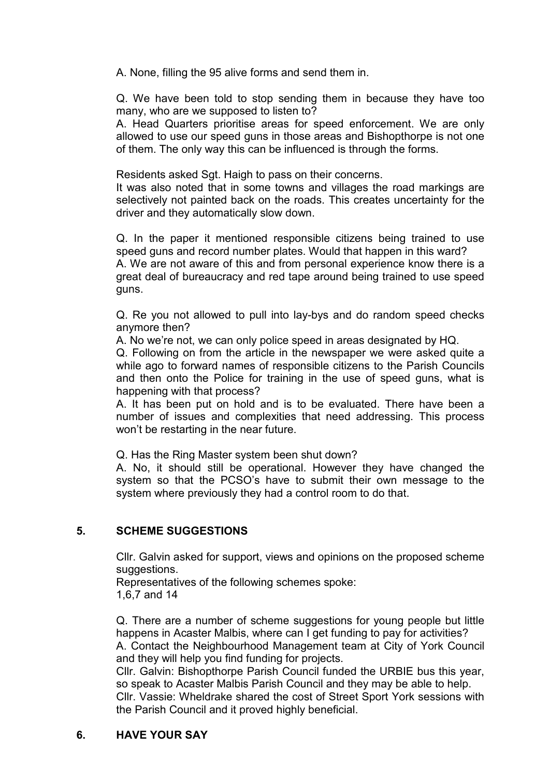A. None, filling the 95 alive forms and send them in.

Q. We have been told to stop sending them in because they have too many, who are we supposed to listen to?

A. Head Quarters prioritise areas for speed enforcement. We are only allowed to use our speed guns in those areas and Bishopthorpe is not one of them. The only way this can be influenced is through the forms.

Residents asked Sgt. Haigh to pass on their concerns.

It was also noted that in some towns and villages the road markings are selectively not painted back on the roads. This creates uncertainty for the driver and they automatically slow down.

Q. In the paper it mentioned responsible citizens being trained to use speed guns and record number plates. Would that happen in this ward? A. We are not aware of this and from personal experience know there is a great deal of bureaucracy and red tape around being trained to use speed guns.

Q. Re you not allowed to pull into lay-bys and do random speed checks anymore then?

A. No we're not, we can only police speed in areas designated by HQ.

Q. Following on from the article in the newspaper we were asked quite a while ago to forward names of responsible citizens to the Parish Councils and then onto the Police for training in the use of speed guns, what is happening with that process?

A. It has been put on hold and is to be evaluated. There have been a number of issues and complexities that need addressing. This process won't be restarting in the near future.

Q. Has the Ring Master system been shut down?

A. No, it should still be operational. However they have changed the system so that the PCSO's have to submit their own message to the system where previously they had a control room to do that.

## **5. SCHEME SUGGESTIONS**

Cllr. Galvin asked for support, views and opinions on the proposed scheme suggestions.

Representatives of the following schemes spoke: 1,6,7 and 14

Q. There are a number of scheme suggestions for young people but little happens in Acaster Malbis, where can I get funding to pay for activities? A. Contact the Neighbourhood Management team at City of York Council and they will help you find funding for projects.

Cllr. Galvin: Bishopthorpe Parish Council funded the URBIE bus this year, so speak to Acaster Malbis Parish Council and they may be able to help. Cllr. Vassie: Wheldrake shared the cost of Street Sport York sessions with the Parish Council and it proved highly beneficial.

## **6. HAVE YOUR SAY**